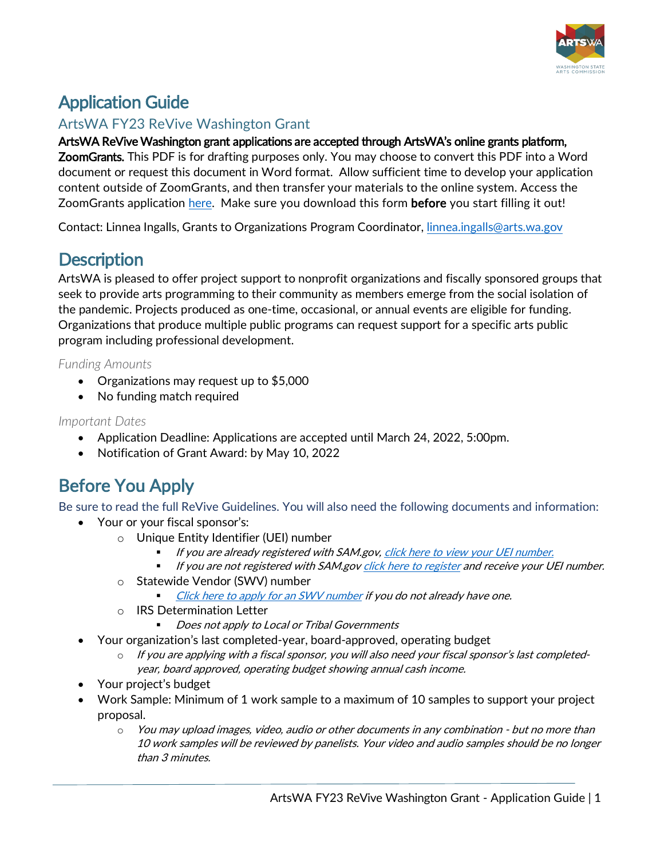

## Application Guide

### ArtsWA FY23 ReVive Washington Grant

### ArtsWA ReVive Washington grant applications are accepted through ArtsWA's online grants platform,

ZoomGrants. This PDF is for drafting purposes only. You may choose to convert this PDF into a Word document or request this document in Word format. Allow sufficient time to develop your application content outside of ZoomGrants, and then transfer your materials to the online system. Access the ZoomGrants application [here.](https://www.zoomgrants.com/gprop.asp?donorid=2273&limited=3561) Make sure you download this form **before** you start filling it out!

Contact: Linnea Ingalls, Grants to Organizations Program Coordinator, [linnea.ingalls@arts.wa.gov](mailto:linnea.ingalls@arts.wa.gov)

### **Description**

ArtsWA is pleased to offer project support to nonprofit organizations and fiscally sponsored groups that seek to provide arts programming to their community as members emerge from the social isolation of the pandemic. Projects produced as one-time, occasional, or annual events are eligible for funding. Organizations that produce multiple public programs can request support for a specific arts public program including professional development.

*Funding Amounts*

- Organizations may request up to \$5,000
- No funding match required

### *Important Dates*

- Application Deadline: Applications are accepted until March 24, 2022, 5:00pm.
- Notification of Grant Award: by May 10, 2022

## Before You Apply

Be sure to read the full ReVive Guidelines. You will also need the following documents and information:

- Your or your fiscal sponsor's:
	- o Unique Entity Identifier (UEI) number
		- If you are already registered with SAM.gov, [click here to view your UEI number.](https://www.fsd.gov/gsafsd_sp?id=kb_article_view&sysparm_article=KB0041254&sys_kb_id=a05adbae1b59f8982fe5ed7ae54bcbba&spa=1)
		- If you are not registered with SAM.go[v click here to register](https://www.fsd.gov/gsafsd_sp?id=kb_article_view&sysparm_article=KB0049214&sys_kb_id=4a26988e1bdf78106397ec21f54bcbf6&spa=1) and receive your UEI number.
	- o Statewide Vendor (SWV) number
		- [Click here to apply for an SWV number](https://ofm.wa.gov/it-systems/accounting-systems/statewide-vendorpayee-services/statewide-vendor-number-lookup?name=mid-columbia+mastersingers&addrLineOne=&city=&state=&zip=) if you do not already have one.
	- o IRS Determination Letter
		- Does not apply to Local or Tribal Governments
- Your organization's last completed-year, board-approved, operating budget
	- o If you are applying with a fiscal sponsor, you will also need your fiscal sponsor's last completedyear, board approved, operating budget showing annual cash income.
- Your project's budget
- Work Sample: Minimum of 1 work sample to a maximum of 10 samples to support your project proposal.
	- o You may upload images, video, audio or other documents in any combination but no more than 10 work samples will be reviewed by panelists. Your video and audio samples should be no longer than 3 minutes.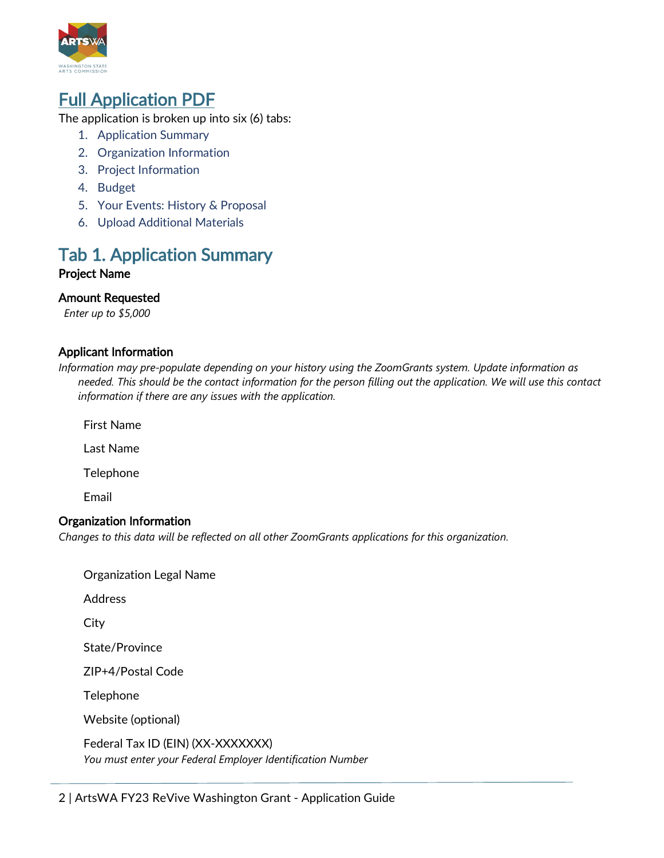

**Full Application PDF**<br>The application is broken up into six (6) tabs:

- 1. Application Summary
- 2. [Organization](#page-2-0) Information
- 3. [Project Information](#page-5-0)
- 4. [Budget](#page-8-0)
- 5. [Your Events: History & Proposal](#page-12-0)
- 6. [Upload Additional Materials](#page-16-0)

# Tab 1. Application Summary Project Name

### Amount Requested

*Enter up to \$5,000*

### Applicant Information

*Information may pre-populate depending on your history using the ZoomGrants system. Update information as needed. This should be the contact information for the person filling out the application. We will use this contact information if there are any issues with the application.*

First Name

Last Name

Telephone

Email

### Organization Information

*Changes to this data will be reflected on all other ZoomGrants applications for this organization.* 

Organization Legal Name

**Address** 

**City** 

State/Province

ZIP+4/Postal Code

Telephone

Website (optional)

Federal Tax ID (EIN) (XX-XXXXXXX) *You must enter your Federal Employer Identification Number*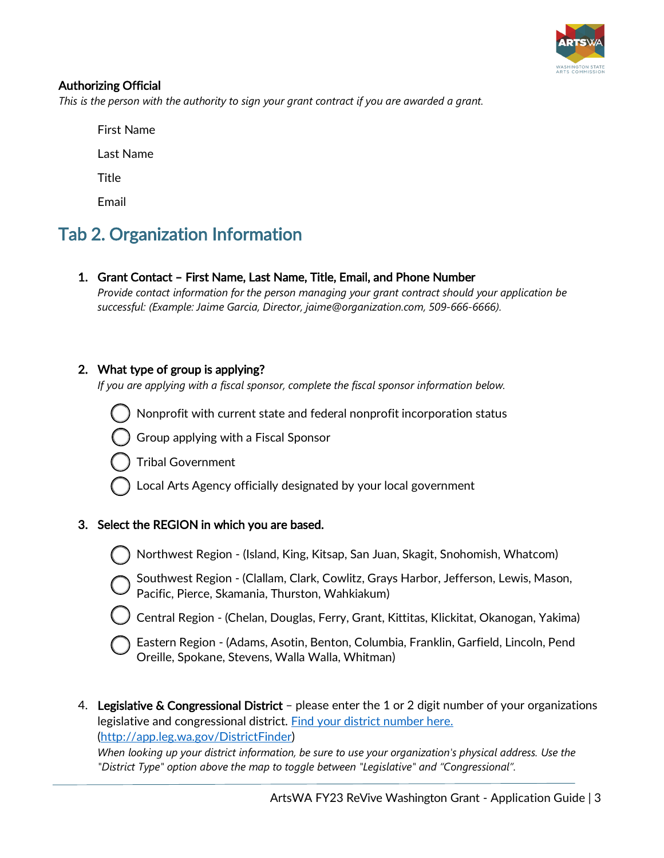

### <span id="page-2-0"></span>Authorizing Official

*This is the person with the authority to sign your grant contract if you are awarded a grant.* 

First Name

Last Name

**Title** 

Email

## Tab 2. Organization Information

1. Grant Contact – First Name, Last Name, Title, Email, and Phone Number

*Provide contact information for the person managing your grant contract should your application be successful: (Example: Jaime Garcia, Director, jaime@organization.com, 509-666-6666).*

### 2. What type of group is applying?

*If you are applying with a fiscal sponsor, complete the fiscal sponsor information below.*

Nonprofit with current state and federal nonprofit incorporation status

Group applying with a Fiscal Sponsor

Tribal Government

Local Arts Agency officially designated by your local government

### 3. Select the REGION in which you are based.



Northwest Region - (Island, King, Kitsap, San Juan, Skagit, Snohomish, Whatcom)



Southwest Region - (Clallam, Clark, Cowlitz, Grays Harbor, Jefferson, Lewis, Mason, Pacific, Pierce, Skamania, Thurston, Wahkiakum)

Central Region - (Chelan, Douglas, Ferry, Grant, Kittitas, Klickitat, Okanogan, Yakima)



Eastern Region - (Adams, Asotin, Benton, Columbia, Franklin, Garfield, Lincoln, Pend Oreille, Spokane, Stevens, Walla Walla, Whitman)

4. Legislative & Congressional District – please enter the 1 or 2 digit number of your organizations legislative and congressional district. [Find your district number here.](http://app.leg.wa.gov/DistrictFinder) [\(http://app.leg.wa.gov/DistrictFinder\)](http://app.leg.wa.gov/DistrictFinder)

*When looking up your district information, be sure to use your organization's physical address. Use the "District Type" option above the map to toggle between "Legislative" and "Congressional".*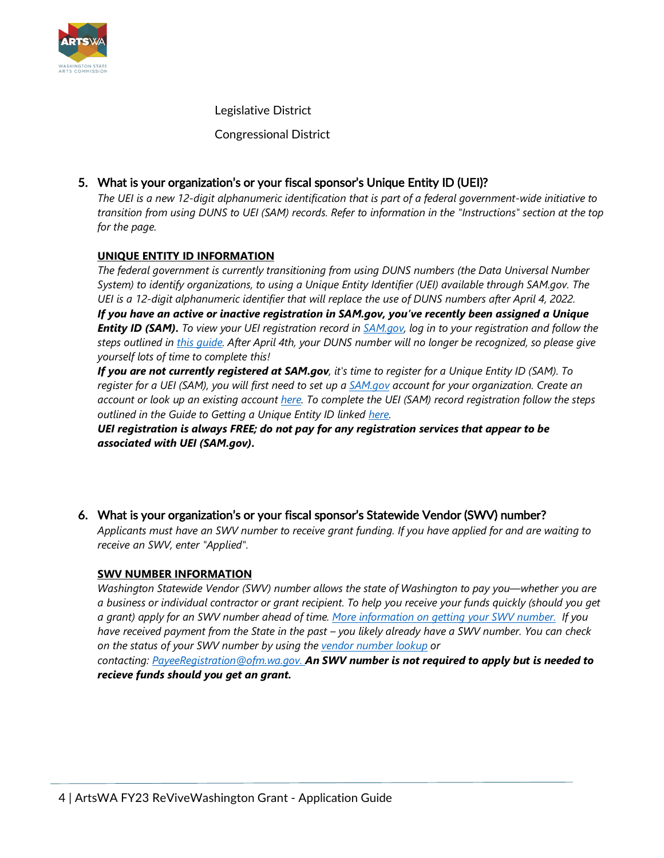

Legislative District

Congressional District

### 5. What is your organization's or your fiscal sponsor's Unique Entity ID (UEI)?

*The UEI is a new 12-digit alphanumeric identification that is part of a federal government-wide initiative to transition from using DUNS to UEI (SAM) records. Refer to information in the "Instructions" section at the top for the page.*

### **UNIQUE ENTITY ID INFORMATION**

*The federal government is currently transitioning from using DUNS numbers (the Data Universal Number System) to identify organizations, to using a Unique Entity Identifier (UEI) available through SAM.gov. The UEI is a 12-digit alphanumeric identifier that will replace the use of DUNS numbers after April 4, 2022. If you have an active or inactive registration in SAM.gov, you've recently been assigned a Unique Entity ID (SAM). To view your UEI registration record in [SAM.gov,](https://sam.gov/content/home) log in to your registration and follow the steps outlined in [this guide.](https://www.fsd.gov/gsafsd_sp?id=kb_article_view&sysparm_article=KB0041254&sys_kb_id=a05adbae1b59f8982fe5ed7ae54bcbba&spa=1) After April 4th, your DUNS number will no longer be recognized, so please give yourself lots of time to complete this!*

*If you are not currently registered at SAM.gov, it's time to register for a Unique Entity ID (SAM). To register for a UEI (SAM), you will first need to set up a [SAM.gov](http://sam.gov/) account for your organization. Create an account or look up an existing account [here.](https://secure.login.gov/?request_id=9caabcd4-6c51-4c2c-84bd-b8f67bdbf4ed) To complete the UEI (SAM) record registration follow the steps outlined in the Guide to Getting a Unique Entity ID linked [here.](https://www.fsd.gov/gsafsd_sp?id=kb_article_view&sysparm_article=KB0049214&sys_kb_id=4a26988e1bdf78106397ec21f54bcbf6&spa=1)*

*UEI registration is always FREE; do not pay for any registration services that appear to be associated with UEI (SAM.gov).*

### 6. What is your organization's or your fiscal sponsor's Statewide Vendor (SWV) number?

*Applicants must have an SWV number to receive grant funding. If you have applied for and are waiting to receive an SWV, enter "Applied".*

#### **SWV NUMBER INFORMATION**

*Washington Statewide Vendor (SWV) number allows the state of Washington to pay you—whether you are a business or individual contractor or grant recipient. To help you receive your funds quickly (should you get a grant) apply for an SWV number ahead of time. [More information on getting your SWV number.](https://ofm.wa.gov/it-systems/accounting-systems/statewide-vendorpayee-services) If you have received payment from the State in the past – you likely already have a SWV number. You can check on the status of your SWV number by using the [vendor number lookup](https://gcc02.safelinks.protection.outlook.com/?url=https%3A%2F%2Fofm.wa.gov%2Fit-systems%2Faccounting-systems%2Fstatewide-vendorpayee-services%2Fstatewide-vendor-number-lookup&data=04%7C01%7Cmiguel.guillen%40arts.wa.gov%7C3fd69230bcde4efc1c4508d8c16b83c7%7C11d0e217264e400a8ba057dcc127d72d%7C0%7C0%7C637472014804358171%7CUnknown%7CTWFpbGZsb3d8eyJWIjoiMC4wLjAwMDAiLCJQIjoiV2luMzIiLCJBTiI6Ik1haWwiLCJXVCI6Mn0%3D%7C1000&sdata=t3zVW2dB4J%2B5Qck5aEADcYgW30%2BnqJl0DbhrYygORx0%3D&reserved=0) or*

*contacting: [PayeeRegistration@ofm.wa.gov.](mailto:PayeeRegistration@ofm.wa.gov) An SWV number is not required to apply but is needed to recieve funds should you get an grant.*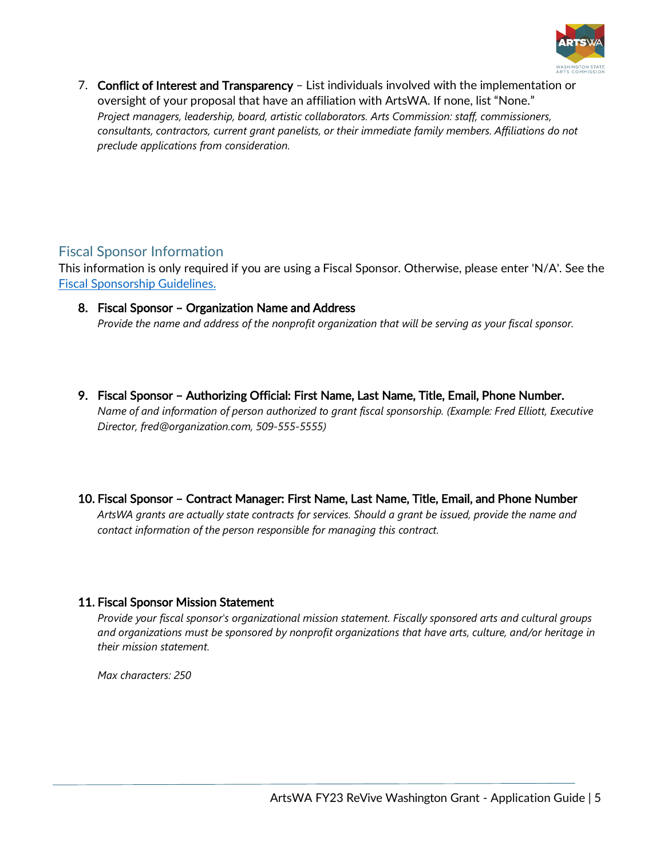

7. Conflict of Interest and Transparency – List individuals involved with the implementation or oversight of your proposal that have an affiliation with ArtsWA. If none, list "None." *Project managers, leadership, board, artistic collaborators. Arts Commission: staff, commissioners, consultants, contractors, current grant panelists, or their immediate family members. Affiliations do not preclude applications from consideration.*

### Fiscal Sponsor Information

This information is only required if you are using a Fiscal Sponsor. Otherwise, please enter 'N/A'. See the [Fiscal Sponsorship Guidelines.](https://www.arts.wa.gov/wp-content/uploads/2021/10/Fiscal-Sponsorship-Guidelines_FY22.pdf)

- 8. Fiscal Sponsor Organization Name and Address *Provide the name and address of the nonprofit organization that will be serving as your fiscal sponsor.*
- 9. Fiscal Sponsor Authorizing Official: First Name, Last Name, Title, Email, Phone Number. *Name of and information of person authorized to grant fiscal sponsorship. (Example: Fred Elliott, Executive Director, fred@organization.com, 509-555-5555)*

### 10. Fiscal Sponsor – Contract Manager: First Name, Last Name, Title, Email, and Phone Number

*ArtsWA grants are actually state contracts for services. Should a grant be issued, provide the name and contact information of the person responsible for managing this contract.*

### 11. Fiscal Sponsor Mission Statement

*Provide your fiscal sponsor's organizational mission statement. Fiscally sponsored arts and cultural groups and organizations must be sponsored by nonprofit organizations that have arts, culture, and/or heritage in their mission statement.*

*Max characters: 250*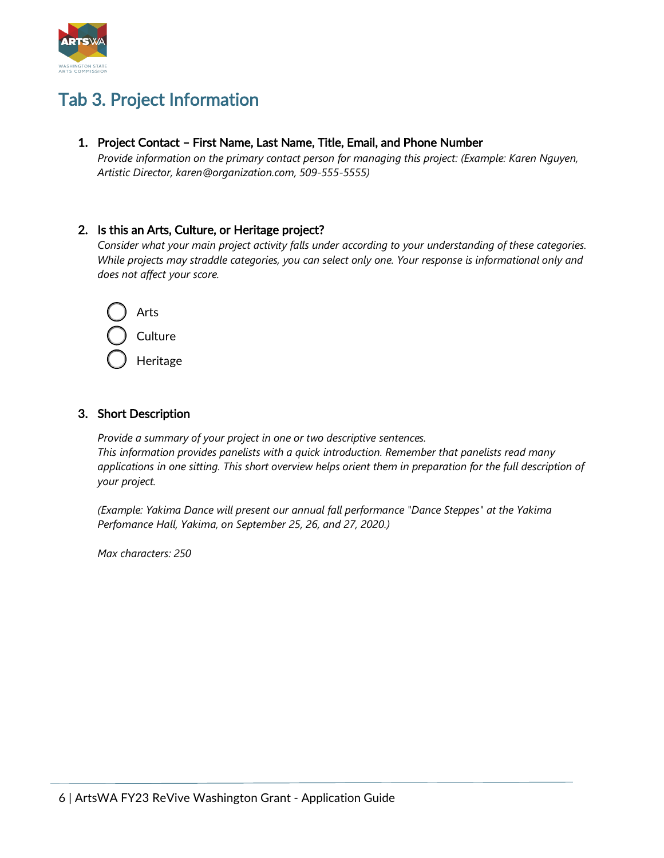<span id="page-5-0"></span>

## Tab 3. Project Information

1. Project Contact – First Name, Last Name, Title, Email, and Phone Number

*Provide information on the primary contact person for managing this project: (Example: Karen Nguyen, Artistic Director, karen@organization.com, 509-555-5555)*

### 2. Is this an Arts, Culture, or Heritage project?

*Consider what your main project activity falls under according to your understanding of these categories. While projects may straddle categories, you can select only one. Your response is informational only and does not affect your score.*



### 3. Short Description

*Provide a summary of your project in one or two descriptive sentences. This information provides panelists with a quick introduction. Remember that panelists read many applications in one sitting. This short overview helps orient them in preparation for the full description of your project.*

*(Example: Yakima Dance will present our annual fall performance "Dance Steppes" at the Yakima Perfomance Hall, Yakima, on September 25, 26, and 27, 2020.)*

*Max characters: 250*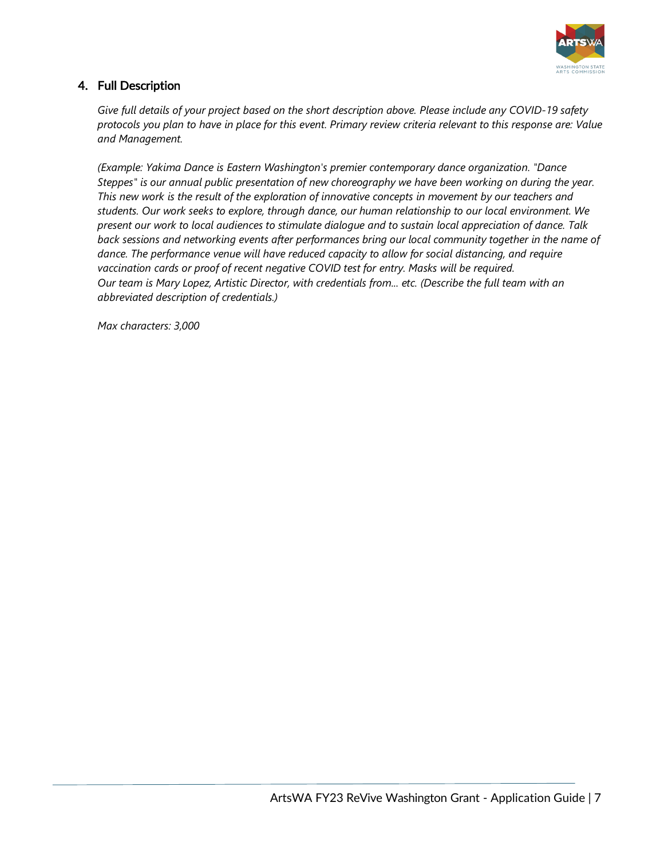

### 4. Full Description

*Give full details of your project based on the short description above. Please include any COVID-19 safety protocols you plan to have in place for this event. Primary review criteria relevant to this response are: Value and Management.*

*(Example: Yakima Dance is Eastern Washington's premier contemporary dance organization. "Dance Steppes" is our annual public presentation of new choreography we have been working on during the year. This new work is the result of the exploration of innovative concepts in movement by our teachers and students. Our work seeks to explore, through dance, our human relationship to our local environment. We present our work to local audiences to stimulate dialogue and to sustain local appreciation of dance. Talk back sessions and networking events after performances bring our local community together in the name of dance. The performance venue will have reduced capacity to allow for social distancing, and require vaccination cards or proof of recent negative COVID test for entry. Masks will be required. Our team is Mary Lopez, Artistic Director, with credentials from... etc. (Describe the full team with an abbreviated description of credentials.)*

*Max characters: 3,000*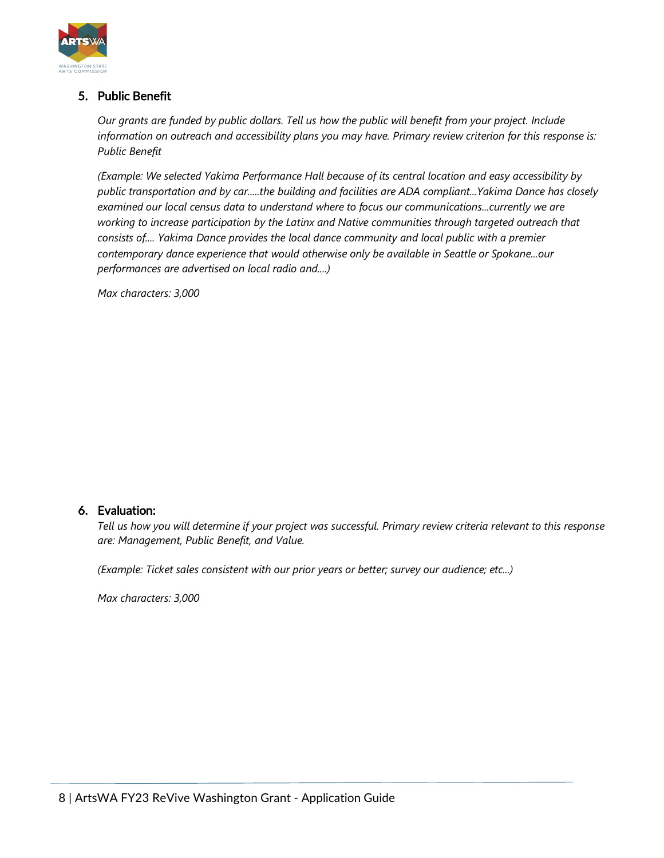

### 5. Public Benefit

*Our grants are funded by public dollars. Tell us how the public will benefit from your project. Include information on outreach and accessibility plans you may have. Primary review criterion for this response is: Public Benefit*

*(Example: We selected Yakima Performance Hall because of its central location and easy accessibility by public transportation and by car.....the building and facilities are ADA compliant...Yakima Dance has closely examined our local census data to understand where to focus our communications...currently we are working to increase participation by the Latinx and Native communities through targeted outreach that consists of.... Yakima Dance provides the local dance community and local public with a premier contemporary dance experience that would otherwise only be available in Seattle or Spokane...our performances are advertised on local radio and....)*

*Max characters: 3,000*

### 6. Evaluation:

*Tell us how you will determine if your project was successful. Primary review criteria relevant to this response are: Management, Public Benefit, and Value.*

*(Example: Ticket sales consistent with our prior years or better; survey our audience; etc...)*

*Max characters: 3,000*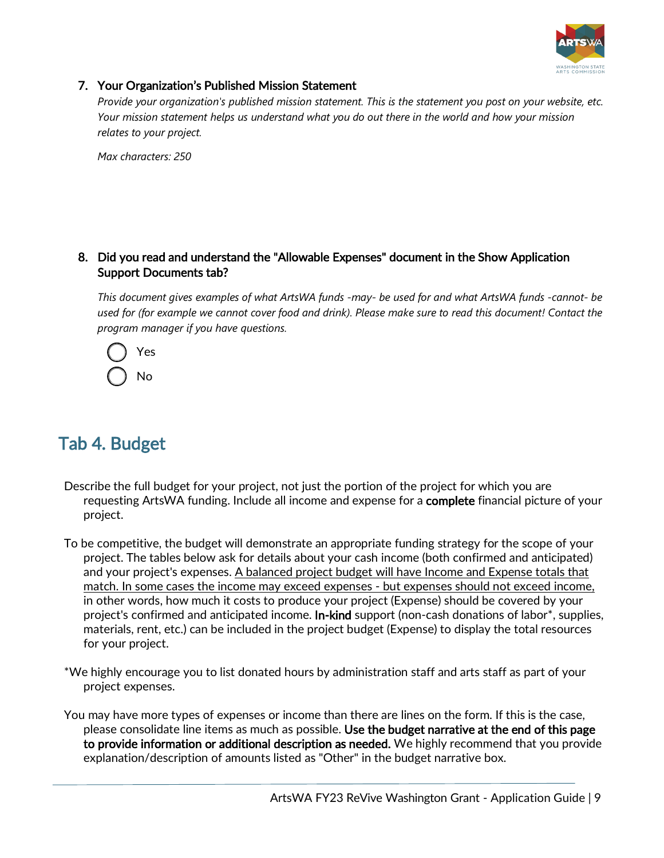

### <span id="page-8-0"></span>7. Your Organization's Published Mission Statement

*Provide your organization's published mission statement. This is the statement you post on your website, etc. Your mission statement helps us understand what you do out there in the world and how your mission relates to your project.*

*Max characters: 250*

### 8. Did you read and understand the "Allowable Expenses" document in the Show Application Support Documents tab?

*This document gives examples of what ArtsWA funds -may- be used for and what ArtsWA funds -cannot- be used for (for example we cannot cover food and drink). Please make sure to read this document! Contact the program manager if you have questions.*



## Tab 4. Budget

- Describe the full budget for your project, not just the portion of the project for which you are requesting ArtsWA funding. Include all income and expense for a **complete** financial picture of your project.
- To be competitive, the budget will demonstrate an appropriate funding strategy for the scope of your project. The tables below ask for details about your cash income (both confirmed and anticipated) and your project's expenses. A balanced project budget will have Income and Expense totals that match. In some cases the income may exceed expenses - but expenses should not exceed income, in other words, how much it costs to produce your project (Expense) should be covered by your project's confirmed and anticipated income. **In-kind** support (non-cash donations of labor<sup>\*</sup>, supplies, materials, rent, etc.) can be included in the project budget (Expense) to display the total resources for your project.
- \*We highly encourage you to list donated hours by administration staff and arts staff as part of your project expenses.
- You may have more types of expenses or income than there are lines on the form. If this is the case, please consolidate line items as much as possible. Use the budget narrative at the end of this page to provide information or additional description as needed. We highly recommend that you provide explanation/description of amounts listed as "Other" in the budget narrative box.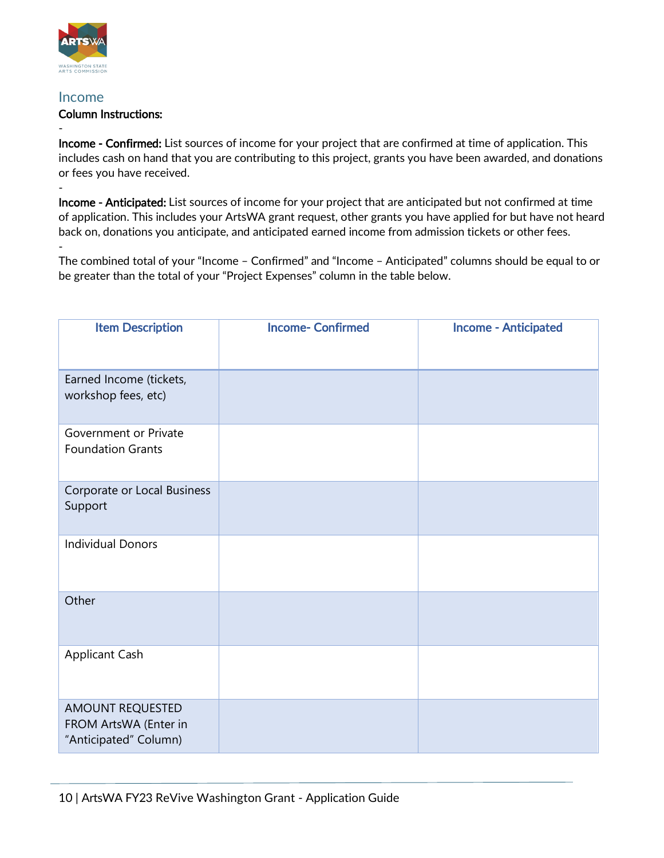

#### Income

-

-

### Column Instructions:

Income - Confirmed: List sources of income for your project that are confirmed at time of application. This includes cash on hand that you are contributing to this project, grants you have been awarded, and donations or fees you have received.

Income - Anticipated: List sources of income for your project that are anticipated but not confirmed at time of application. This includes your ArtsWA grant request, other grants you have applied for but have not heard back on, donations you anticipate, and anticipated earned income from admission tickets or other fees. -

The combined total of your "Income – Confirmed" and "Income – Anticipated" columns should be equal to or be greater than the total of your "Project Expenses" column in the table below.

| <b>Item Description</b>                                                   | <b>Income- Confirmed</b> | <b>Income - Anticipated</b> |
|---------------------------------------------------------------------------|--------------------------|-----------------------------|
| Earned Income (tickets,<br>workshop fees, etc)                            |                          |                             |
| Government or Private<br><b>Foundation Grants</b>                         |                          |                             |
| Corporate or Local Business<br>Support                                    |                          |                             |
| <b>Individual Donors</b>                                                  |                          |                             |
| Other                                                                     |                          |                             |
| <b>Applicant Cash</b>                                                     |                          |                             |
| <b>AMOUNT REQUESTED</b><br>FROM ArtsWA (Enter in<br>"Anticipated" Column) |                          |                             |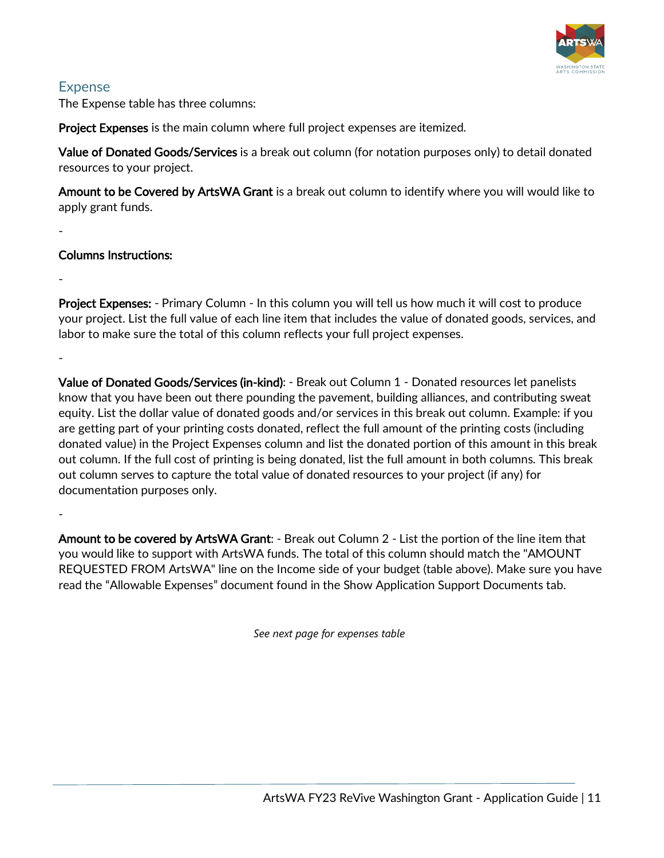

### Expense

-

-

-

The Expense table has three columns:

**Project Expenses** is the main column where full project expenses are itemized.

Value of Donated Goods/Services is a break out column (for notation purposes only) to detail donated resources to your project.

Amount to be Covered by ArtsWA Grant is a break out column to identify where you will would like to apply grant funds.

### Columns Instructions:

Project Expenses: - Primary Column - In this column you will tell us how much it will cost to produce your project. List the full value of each line item that includes the value of donated goods, services, and labor to make sure the total of this column reflects your full project expenses.

Value of Donated Goods/Services (in-kind): - Break out Column 1 - Donated resources let panelists know that you have been out there pounding the pavement, building alliances, and contributing sweat equity. List the dollar value of donated goods and/or services in this break out column. Example: if you are getting part of your printing costs donated, reflect the full amount of the printing costs (including donated value) in the Project Expenses column and list the donated portion of this amount in this break out column. If the full cost of printing is being donated, list the full amount in both columns. This break out column serves to capture the total value of donated resources to your project (if any) for documentation purposes only.

-

Amount to be covered by ArtsWA Grant: - Break out Column 2 - List the portion of the line item that you would like to support with ArtsWA funds. The total of this column should match the "AMOUNT REQUESTED FROM ArtsWA" line on the Income side of your budget (table above). Make sure you have read the "Allowable Expenses" document found in the Show Application Support Documents tab.

*See next page for expenses table*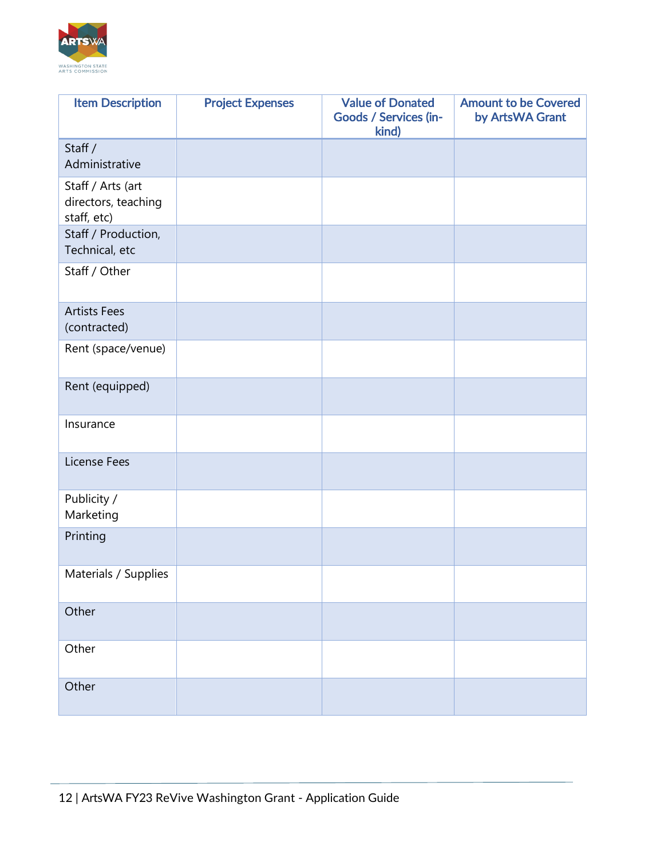

| <b>Item Description</b>                                 | <b>Project Expenses</b> | <b>Value of Donated</b><br>Goods / Services (in-<br>kind) | <b>Amount to be Covered</b><br>by ArtsWA Grant |
|---------------------------------------------------------|-------------------------|-----------------------------------------------------------|------------------------------------------------|
| Staff /<br>Administrative                               |                         |                                                           |                                                |
| Staff / Arts (art<br>directors, teaching<br>staff, etc) |                         |                                                           |                                                |
| Staff / Production,<br>Technical, etc                   |                         |                                                           |                                                |
| Staff / Other                                           |                         |                                                           |                                                |
| <b>Artists Fees</b><br>(contracted)                     |                         |                                                           |                                                |
| Rent (space/venue)                                      |                         |                                                           |                                                |
| Rent (equipped)                                         |                         |                                                           |                                                |
| Insurance                                               |                         |                                                           |                                                |
| License Fees                                            |                         |                                                           |                                                |
| Publicity /<br>Marketing                                |                         |                                                           |                                                |
| Printing                                                |                         |                                                           |                                                |
| Materials / Supplies                                    |                         |                                                           |                                                |
| Other                                                   |                         |                                                           |                                                |
| Other                                                   |                         |                                                           |                                                |
| Other                                                   |                         |                                                           |                                                |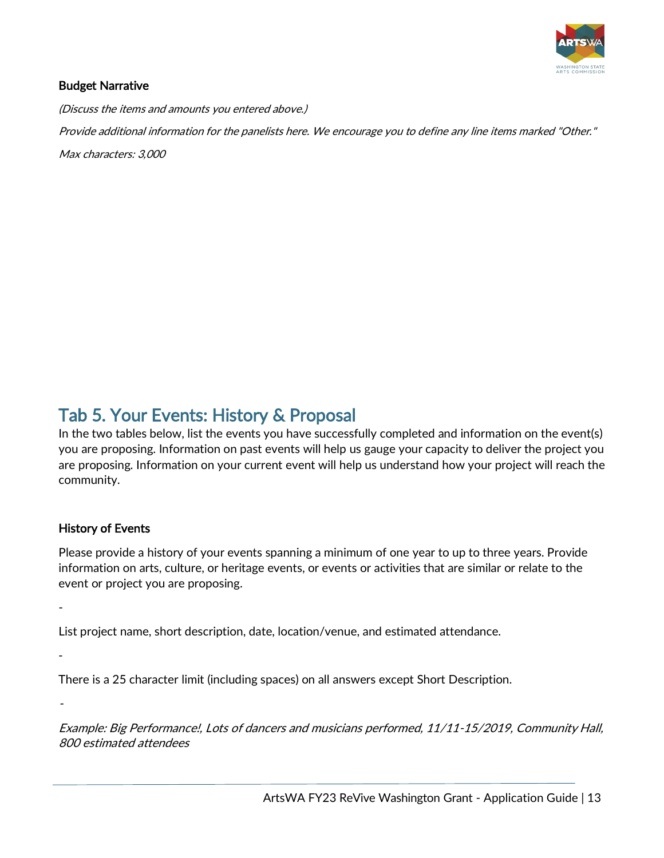

### <span id="page-12-0"></span>Budget Narrative

(Discuss the items and amounts you entered above.) Provide additional information for the panelists here. We encourage you to define any line items marked "Other." Max characters: 3,000

Tab 5. Your Events: History & Proposal<br>In the two tables below, list the events you have successfully completed and information on the event(s) you are proposing. Information on past events will help us gauge your capacity to deliver the project you are proposing. Information on your current event will help us understand how your project will reach the community.

### History of Events

-

-

-

Please provide a history of your events spanning a minimum of one year to up to three years. Provide information on arts, culture, or heritage events, or events or activities that are similar or relate to the event or project you are proposing.

List project name, short description, date, location/venue, and estimated attendance.

There is a 25 character limit (including spaces) on all answers except Short Description.

Example: Big Performance!, Lots of dancers and musicians performed, 11/11-15/2019, Community Hall, 800 estimated attendees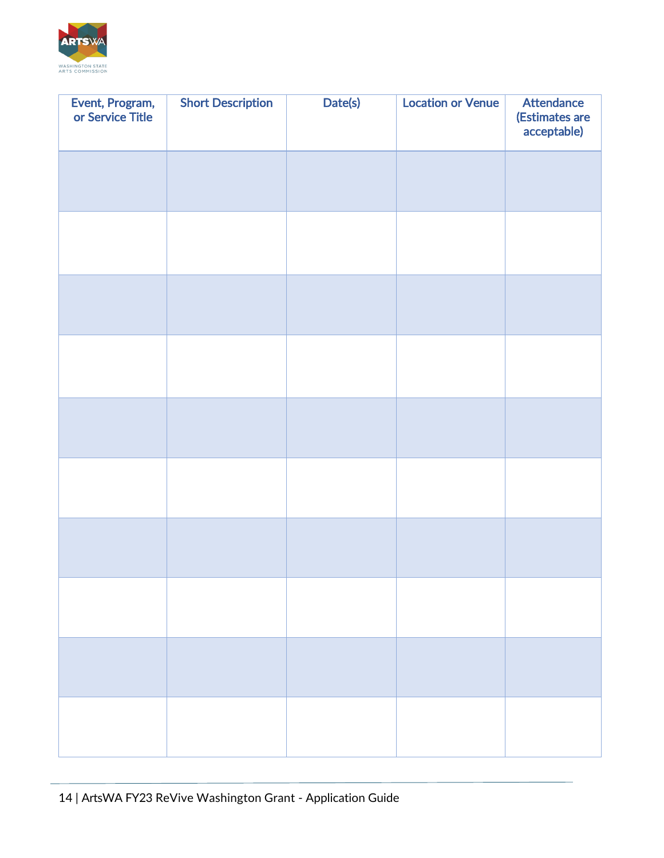

| Event, Program,<br>or Service Title | <b>Short Description</b> | Date(s) | <b>Location or Venue</b> | <b>Attendance</b><br>(Estimates are<br>acceptable) |
|-------------------------------------|--------------------------|---------|--------------------------|----------------------------------------------------|
|                                     |                          |         |                          |                                                    |
|                                     |                          |         |                          |                                                    |
|                                     |                          |         |                          |                                                    |
|                                     |                          |         |                          |                                                    |
|                                     |                          |         |                          |                                                    |
|                                     |                          |         |                          |                                                    |
|                                     |                          |         |                          |                                                    |
|                                     |                          |         |                          |                                                    |
|                                     |                          |         |                          |                                                    |
|                                     |                          |         |                          |                                                    |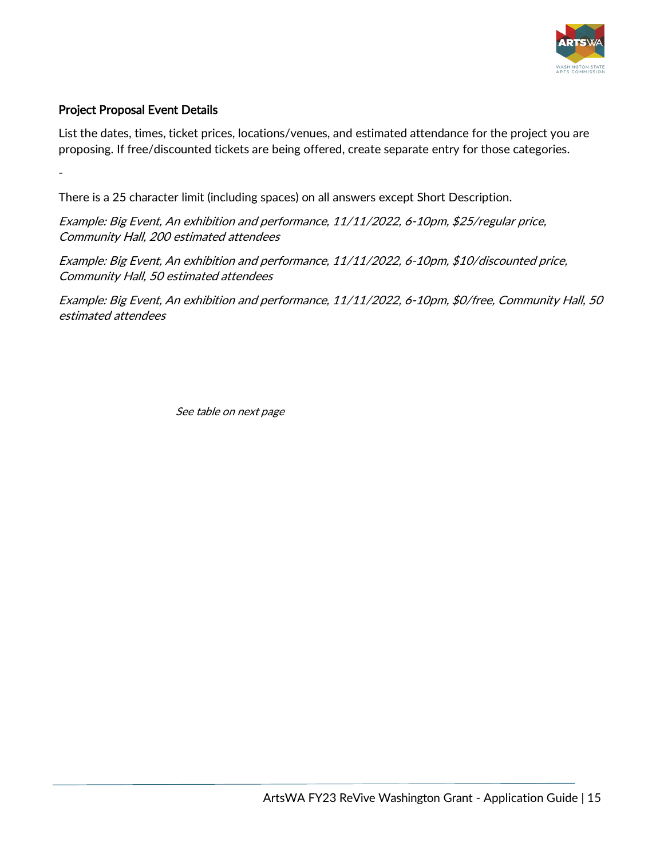

### Project Proposal Event Details

-

List the dates, times, ticket prices, locations/venues, and estimated attendance for the project you are proposing. If free/discounted tickets are being offered, create separate entry for those categories.

There is a 25 character limit (including spaces) on all answers except Short Description.

Example: Big Event, An exhibition and performance, 11/11/2022, 6-10pm, \$25/regular price, Community Hall, 200 estimated attendees

Example: Big Event, An exhibition and performance, 11/11/2022, 6-10pm, \$10/discounted price, Community Hall, 50 estimated attendees

Example: Big Event, An exhibition and performance, 11/11/2022, 6-10pm, \$0/free, Community Hall, 50 estimated attendees

See table on next page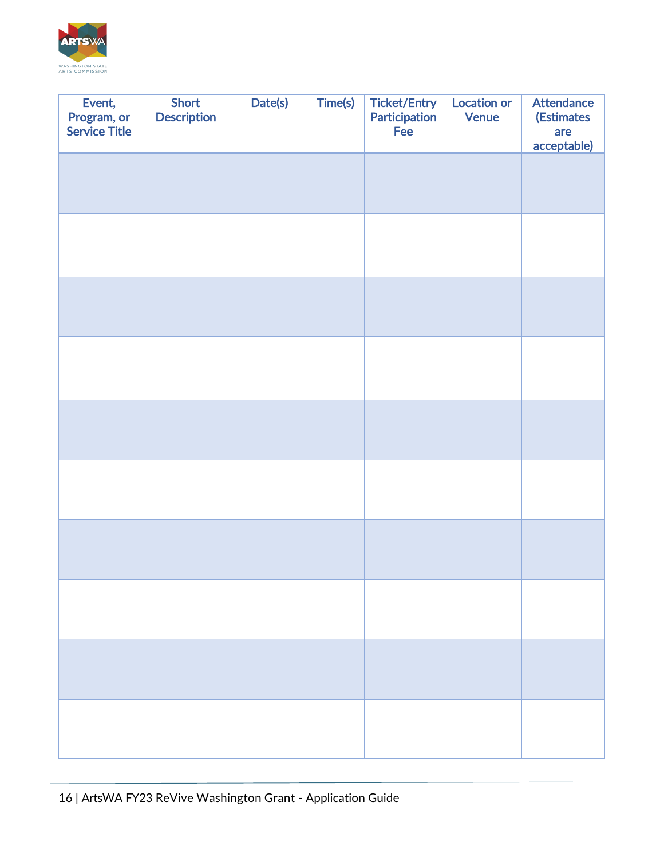

| Event,<br>Program, or<br><b>Service Title</b> | <b>Short</b><br><b>Description</b> | Date(s) | Time(s) | <b>Ticket/Entry</b><br><b>Participation</b><br>Fee | <b>Location or</b><br><b>Venue</b> | <b>Attendance</b><br><b>(Estimates</b><br>are<br>acceptable) |
|-----------------------------------------------|------------------------------------|---------|---------|----------------------------------------------------|------------------------------------|--------------------------------------------------------------|
|                                               |                                    |         |         |                                                    |                                    |                                                              |
|                                               |                                    |         |         |                                                    |                                    |                                                              |
|                                               |                                    |         |         |                                                    |                                    |                                                              |
|                                               |                                    |         |         |                                                    |                                    |                                                              |
|                                               |                                    |         |         |                                                    |                                    |                                                              |
|                                               |                                    |         |         |                                                    |                                    |                                                              |
|                                               |                                    |         |         |                                                    |                                    |                                                              |
|                                               |                                    |         |         |                                                    |                                    |                                                              |
|                                               |                                    |         |         |                                                    |                                    |                                                              |
|                                               |                                    |         |         |                                                    |                                    |                                                              |